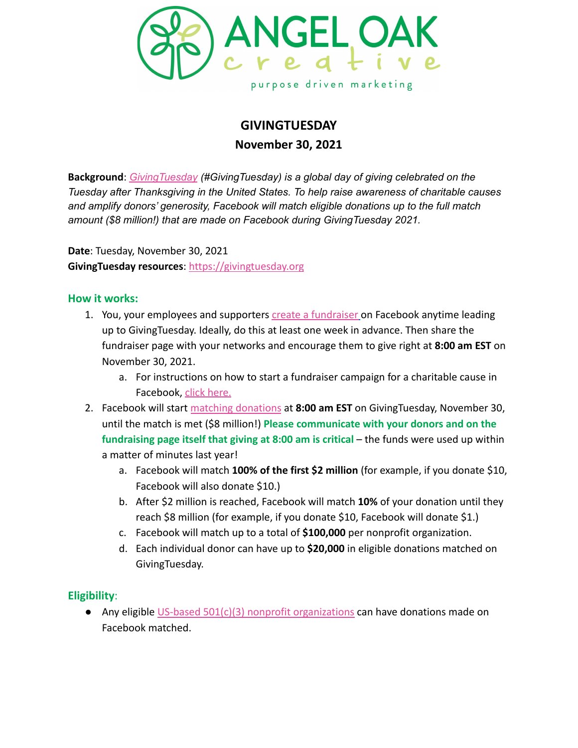

# **GIVINGTUESDAY**

**November 30, 2021**

**Background**: *[GivingTuesday](https://givingtuesday.org) (#GivingTuesday) is a global day of giving celebrated on the Tuesday after Thanksgiving in the United States. To help raise awareness of charitable causes and amplify donors' generosity, Facebook will match eligible donations up to the full match amount (\$8 million!) that are made on Facebook during GivingTuesday 2021.*

**Date**: Tuesday, November 30, 2021 **GivingTuesday resources**: <https://givingtuesday.org>

### **How it works:**

- 1. You, your employees and supporters [create a fundraiser](https://www.facebook.com/fundraisers?create&default_beneficiary_type=charity&prefill-type=giving_tuesday&source=help_center_how_to_create_fundraiser) on Facebook anytime leading up to GivingTuesday. Ideally, do this at least one week in advance. Then share the fundraiser page with your networks and encourage them to give right at **8:00 am EST** on November 30, 2021.
	- a. For instructions on how to start a fundraiser campaign for a charitable cause in Facebook, [click here.](https://www.facebook.com/help/990087377765844)
- 2. Facebook will start [matching donations](https://www.facebook.com/help/332488213787105) at **8:00 am EST** on GivingTuesday, November 30, until the match is met (\$8 million!) **Please communicate with your donors and on the fundraising page itself that giving at 8:00 am is critical** – the funds were used up within a matter of minutes last year!
	- a. Facebook will match **100% of the first \$2 million** (for example, if you donate \$10, Facebook will also donate \$10.)
	- b. After \$2 million is reached, Facebook will match **10%** of your donation until they reach \$8 million (for example, if you donate \$10, Facebook will donate \$1.)
	- c. Facebook will match up to a total of **\$100,000** per nonprofit organization.
	- d. Each individual donor can have up to **\$20,000** in eligible donations matched on GivingTuesday.

## **Eligibility**:

● Any eligible [US-based 501\(c\)\(3\) nonprofit organizations](https://www.facebook.com/help/1251484118194936) can have donations made on Facebook matched.